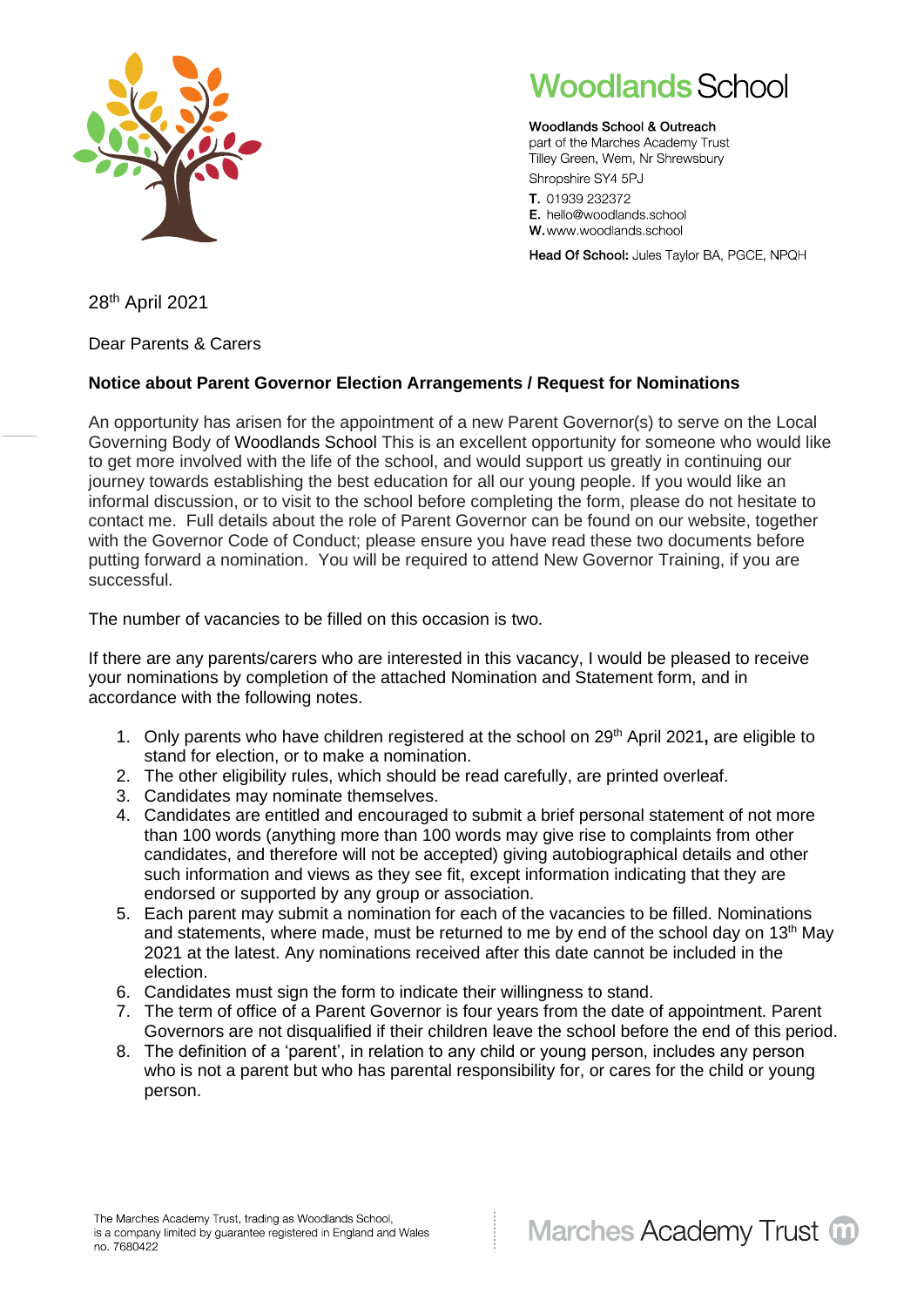

## **Woodlands School**

Woodlands School & Outreach part of the Marches Academy Trust Tilley Green, Wem, Nr Shrewsbury Shropshire SY4 5PJ

T. 01939 232372 E. hello@woodlands.school W. www.woodlands.school

Head Of School: Jules Taylor BA, PGCE, NPQH

28 th April 2021

Dear Parents & Carers

## **Notice about Parent Governor Election Arrangements / Request for Nominations**

An opportunity has arisen for the appointment of a new Parent Governor(s) to serve on the Local Governing Body of Woodlands School This is an excellent opportunity for someone who would like to get more involved with the life of the school, and would support us greatly in continuing our journey towards establishing the best education for all our young people. If you would like an informal discussion, or to visit to the school before completing the form, please do not hesitate to contact me. Full details about the role of Parent Governor can be found on our website, together with the Governor Code of Conduct; please ensure you have read these two documents before putting forward a nomination. You will be required to attend New Governor Training, if you are successful.

The number of vacancies to be filled on this occasion is two.

If there are any parents/carers who are interested in this vacancy, I would be pleased to receive your nominations by completion of the attached Nomination and Statement form, and in accordance with the following notes.

- 1. Only parents who have children registered at the school on 29th April 2021**,** are eligible to stand for election, or to make a nomination.
- 2. The other eligibility rules, which should be read carefully, are printed overleaf.
- 3. Candidates may nominate themselves.
- 4. Candidates are entitled and encouraged to submit a brief personal statement of not more than 100 words (anything more than 100 words may give rise to complaints from other candidates, and therefore will not be accepted) giving autobiographical details and other such information and views as they see fit, except information indicating that they are endorsed or supported by any group or association.
- 5. Each parent may submit a nomination for each of the vacancies to be filled. Nominations and statements, where made, must be returned to me by end of the school day on 13<sup>th</sup> May 2021 at the latest. Any nominations received after this date cannot be included in the election.
- 6. Candidates must sign the form to indicate their willingness to stand.
- 7. The term of office of a Parent Governor is four years from the date of appointment. Parent Governors are not disqualified if their children leave the school before the end of this period.
- 8. The definition of a 'parent', in relation to any child or young person, includes any person who is not a parent but who has parental responsibility for, or cares for the child or young person.